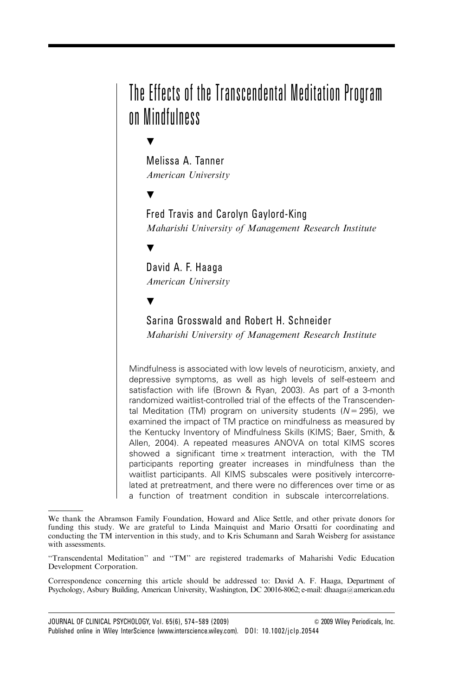# The Effects of the Transcendental Meditation Program on Mindfulness

 $\blacktriangledown$ 

Melissa A. Tanner American University

Fred Travis and Carolyn Gaylord-King Maharishi University of Management Research Institute

# $\blacksquare$

 $\blacktriangledown$ 

David A. F. Haaga American University

# $\blacktriangledown$

Sarina Grosswald and Robert H. Schneider Maharishi University of Management Research Institute

Mindfulness is associated with low levels of neuroticism, anxiety, and depressive symptoms, as well as high levels of self-esteem and satisfaction with life (Brown & Ryan, 2003). As part of a 3-month randomized waitlist-controlled trial of the effects of the Transcendental Meditation (TM) program on university students ( $N = 295$ ), we examined the impact of TM practice on mindfulness as measured by the Kentucky Inventory of Mindfulness Skills (KIMS; Baer, Smith, & Allen, 2004). A repeated measures ANOVA on total KIMS scores showed a significant time  $\times$  treatment interaction, with the TM participants reporting greater increases in mindfulness than the waitlist participants. All KIMS subscales were positively intercorrelated at pretreatment, and there were no differences over time or as a function of treatment condition in subscale intercorrelations.

Correspondence concerning this article should be addressed to: David A. F. Haaga, Department of Psychology, Asbury Building, American University, Washington, DC 20016-8062; e-mail: dhaaga@american.edu

We thank the Abramson Family Foundation, Howard and Alice Settle, and other private donors for funding this study. We are grateful to Linda Mainquist and Mario Orsatti for coordinating and conducting the TM intervention in this study, and to Kris Schumann and Sarah Weisberg for assistance with assessments.

<sup>&#</sup>x27;'Transcendental Meditation'' and ''TM'' are registered trademarks of Maharishi Vedic Education Development Corporation.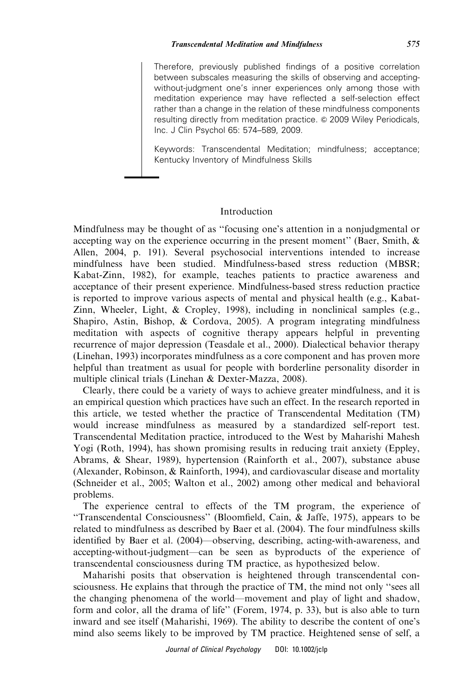Therefore, previously published findings of a positive correlation between subscales measuring the skills of observing and acceptingwithout-judgment one's inner experiences only among those with meditation experience may have reflected a self-selection effect rather than a change in the relation of these mindfulness components resulting directly from meditation practice. © 2009 Wiley Periodicals, Inc. J Clin Psychol 65: 574–589, 2009.

Keywords: Transcendental Meditation; mindfulness; acceptance; Kentucky Inventory of Mindfulness Skills

# Introduction

Mindfulness may be thought of as ''focusing one's attention in a nonjudgmental or accepting way on the experience occurring in the present moment'' (Baer, Smith, & Allen, 2004, p. 191). Several psychosocial interventions intended to increase mindfulness have been studied. Mindfulness-based stress reduction (MBSR; Kabat-Zinn, 1982), for example, teaches patients to practice awareness and acceptance of their present experience. Mindfulness-based stress reduction practice is reported to improve various aspects of mental and physical health (e.g., Kabat-Zinn, Wheeler, Light, & Cropley, 1998), including in nonclinical samples (e.g., Shapiro, Astin, Bishop, & Cordova, 2005). A program integrating mindfulness meditation with aspects of cognitive therapy appears helpful in preventing recurrence of major depression (Teasdale et al., 2000). Dialectical behavior therapy (Linehan, 1993) incorporates mindfulness as a core component and has proven more helpful than treatment as usual for people with borderline personality disorder in multiple clinical trials (Linehan & Dexter-Mazza, 2008).

Clearly, there could be a variety of ways to achieve greater mindfulness, and it is an empirical question which practices have such an effect. In the research reported in this article, we tested whether the practice of Transcendental Meditation (TM) would increase mindfulness as measured by a standardized self-report test. Transcendental Meditation practice, introduced to the West by Maharishi Mahesh Yogi (Roth, 1994), has shown promising results in reducing trait anxiety (Eppley, Abrams, & Shear, 1989), hypertension (Rainforth et al., 2007), substance abuse (Alexander, Robinson, & Rainforth, 1994), and cardiovascular disease and mortality (Schneider et al., 2005; Walton et al., 2002) among other medical and behavioral problems.

The experience central to effects of the TM program, the experience of ''Transcendental Consciousness'' (Bloomfield, Cain, & Jaffe, 1975), appears to be related to mindfulness as described by Baer et al. (2004). The four mindfulness skills identified by Baer et al. (2004)—observing, describing, acting-with-awareness, and accepting-without-judgment—can be seen as byproducts of the experience of transcendental consciousness during TM practice, as hypothesized below.

Maharishi posits that observation is heightened through transcendental consciousness. He explains that through the practice of TM, the mind not only ''sees all the changing phenomena of the world—movement and play of light and shadow, form and color, all the drama of life'' (Forem, 1974, p. 33), but is also able to turn inward and see itself (Maharishi, 1969). The ability to describe the content of one's mind also seems likely to be improved by TM practice. Heightened sense of self, a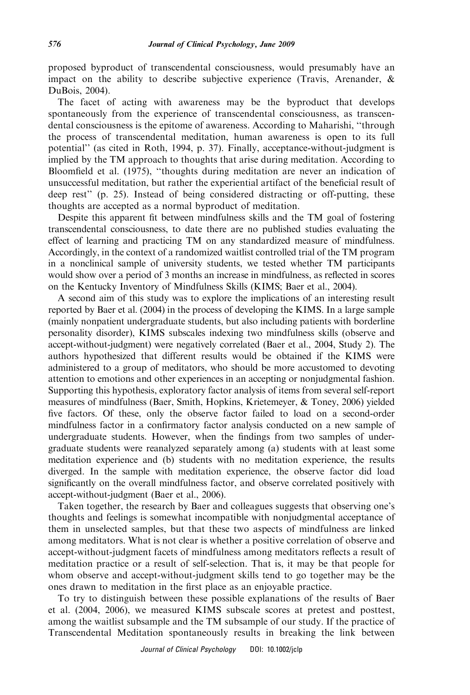proposed byproduct of transcendental consciousness, would presumably have an impact on the ability to describe subjective experience (Travis, Arenander, & DuBois, 2004).

The facet of acting with awareness may be the byproduct that develops spontaneously from the experience of transcendental consciousness, as transcendental consciousness is the epitome of awareness. According to Maharishi, ''through the process of transcendental meditation, human awareness is open to its full potential'' (as cited in Roth, 1994, p. 37). Finally, acceptance-without-judgment is implied by the TM approach to thoughts that arise during meditation. According to Bloomfield et al. (1975), ''thoughts during meditation are never an indication of unsuccessful meditation, but rather the experiential artifact of the beneficial result of deep rest'' (p. 25). Instead of being considered distracting or off-putting, these thoughts are accepted as a normal byproduct of meditation.

Despite this apparent fit between mindfulness skills and the TM goal of fostering transcendental consciousness, to date there are no published studies evaluating the effect of learning and practicing TM on any standardized measure of mindfulness. Accordingly, in the context of a randomized waitlist controlled trial of the TM program in a nonclinical sample of university students, we tested whether TM participants would show over a period of 3 months an increase in mindfulness, as reflected in scores on the Kentucky Inventory of Mindfulness Skills (KIMS; Baer et al., 2004).

A second aim of this study was to explore the implications of an interesting result reported by Baer et al. (2004) in the process of developing the KIMS. In a large sample (mainly nonpatient undergraduate students, but also including patients with borderline personality disorder), KIMS subscales indexing two mindfulness skills (observe and accept-without-judgment) were negatively correlated (Baer et al., 2004, Study 2). The authors hypothesized that different results would be obtained if the KIMS were administered to a group of meditators, who should be more accustomed to devoting attention to emotions and other experiences in an accepting or nonjudgmental fashion. Supporting this hypothesis, exploratory factor analysis of items from several self-report measures of mindfulness (Baer, Smith, Hopkins, Krietemeyer, & Toney, 2006) yielded five factors. Of these, only the observe factor failed to load on a second-order mindfulness factor in a confirmatory factor analysis conducted on a new sample of undergraduate students. However, when the findings from two samples of undergraduate students were reanalyzed separately among (a) students with at least some meditation experience and (b) students with no meditation experience, the results diverged. In the sample with meditation experience, the observe factor did load significantly on the overall mindfulness factor, and observe correlated positively with accept-without-judgment (Baer et al., 2006).

Taken together, the research by Baer and colleagues suggests that observing one's thoughts and feelings is somewhat incompatible with nonjudgmental acceptance of them in unselected samples, but that these two aspects of mindfulness are linked among meditators. What is not clear is whether a positive correlation of observe and accept-without-judgment facets of mindfulness among meditators reflects a result of meditation practice or a result of self-selection. That is, it may be that people for whom observe and accept-without-judgment skills tend to go together may be the ones drawn to meditation in the first place as an enjoyable practice.

To try to distinguish between these possible explanations of the results of Baer et al. (2004, 2006), we measured KIMS subscale scores at pretest and posttest, among the waitlist subsample and the TM subsample of our study. If the practice of Transcendental Meditation spontaneously results in breaking the link between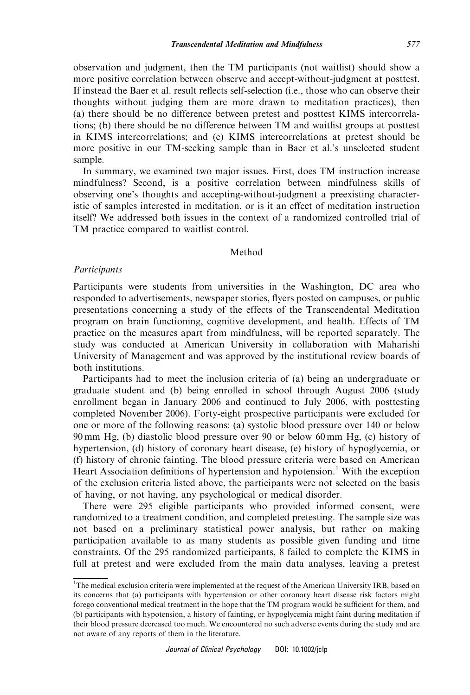observation and judgment, then the TM participants (not waitlist) should show a more positive correlation between observe and accept-without-judgment at posttest. If instead the Baer et al. result reflects self-selection (i.e., those who can observe their thoughts without judging them are more drawn to meditation practices), then (a) there should be no difference between pretest and posttest KIMS intercorrelations; (b) there should be no difference between TM and waitlist groups at posttest in KIMS intercorrelations; and (c) KIMS intercorrelations at pretest should be more positive in our TM-seeking sample than in Baer et al.'s unselected student sample.

In summary, we examined two major issues. First, does TM instruction increase mindfulness? Second, is a positive correlation between mindfulness skills of observing one's thoughts and accepting-without-judgment a preexisting characteristic of samples interested in meditation, or is it an effect of meditation instruction itself? We addressed both issues in the context of a randomized controlled trial of TM practice compared to waitlist control.

#### Method

#### Participants

Participants were students from universities in the Washington, DC area who responded to advertisements, newspaper stories, flyers posted on campuses, or public presentations concerning a study of the effects of the Transcendental Meditation program on brain functioning, cognitive development, and health. Effects of TM practice on the measures apart from mindfulness, will be reported separately. The study was conducted at American University in collaboration with Maharishi University of Management and was approved by the institutional review boards of both institutions.

Participants had to meet the inclusion criteria of (a) being an undergraduate or graduate student and (b) being enrolled in school through August 2006 (study enrollment began in January 2006 and continued to July 2006, with posttesting completed November 2006). Forty-eight prospective participants were excluded for one or more of the following reasons: (a) systolic blood pressure over 140 or below 90 mm Hg, (b) diastolic blood pressure over 90 or below 60 mm Hg, (c) history of hypertension, (d) history of coronary heart disease, (e) history of hypoglycemia, or (f) history of chronic fainting. The blood pressure criteria were based on American Heart Association definitions of hypertension and hypotension.<sup>1</sup> With the exception of the exclusion criteria listed above, the participants were not selected on the basis of having, or not having, any psychological or medical disorder.

There were 295 eligible participants who provided informed consent, were randomized to a treatment condition, and completed pretesting. The sample size was not based on a preliminary statistical power analysis, but rather on making participation available to as many students as possible given funding and time constraints. Of the 295 randomized participants, 8 failed to complete the KIMS in full at pretest and were excluded from the main data analyses, leaving a pretest

<sup>&</sup>lt;sup>1</sup>The medical exclusion criteria were implemented at the request of the American University IRB, based on its concerns that (a) participants with hypertension or other coronary heart disease risk factors might forego conventional medical treatment in the hope that the TM program would be sufficient for them, and (b) participants with hypotension, a history of fainting, or hypoglycemia might faint during meditation if their blood pressure decreased too much. We encountered no such adverse events during the study and are not aware of any reports of them in the literature.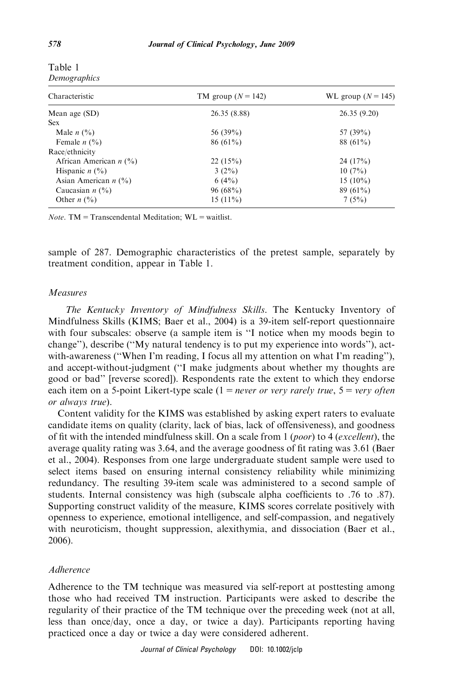| ۰.<br>$\sim$ | P.<br>× | I<br>$\sim$ |
|--------------|---------|-------------|
|              |         |             |

| Characteristic                      | TM group $(N = 142)$ | WL group $(N = 145)$ |
|-------------------------------------|----------------------|----------------------|
| Mean age (SD)                       | 26.35 (8.88)         | 26.35(9.20)          |
| <b>Sex</b>                          |                      |                      |
| Male $n$ $\left(\frac{9}{6}\right)$ | 56 (39%)             | 57 (39%)             |
| Female $n$ (%)                      | $86(61\%)$           | 88 $(61\%)$          |
| Race/ethnicity                      |                      |                      |
| African American $n$ (%)            | 22(15%)              | 24(17%)              |
| Hispanic $n$ (%)                    | $3(2\%)$             | 10(7%)               |
| Asian American $n$ (%)              | $6(4\%)$             | $15(10\%)$           |
| Caucasian $n$ (%)                   | 96(68%)              | $89(61\%)$           |
| Other $n$ (%)                       | $15(11\%)$           | 7(5%)                |

Table 1 Demographics

*Note.* TM = Transcendental Meditation;  $WL =$  waitlist.

sample of 287. Demographic characteristics of the pretest sample, separately by treatment condition, appear in Table 1.

## Measures

The Kentucky Inventory of Mindfulness Skills. The Kentucky Inventory of Mindfulness Skills (KIMS; Baer et al., 2004) is a 39-item self-report questionnaire with four subscales: observe (a sample item is ''I notice when my moods begin to change''), describe (''My natural tendency is to put my experience into words''), actwith-awareness (''When I'm reading, I focus all my attention on what I'm reading''), and accept-without-judgment (''I make judgments about whether my thoughts are good or bad'' [reverse scored]). Respondents rate the extent to which they endorse each item on a 5-point Likert-type scale  $(1 = never \ or \ very \ rarely \ true, 5 = very \ often)$ or always true).

Content validity for the KIMS was established by asking expert raters to evaluate candidate items on quality (clarity, lack of bias, lack of offensiveness), and goodness of fit with the intended mindfulness skill. On a scale from  $1 (poor)$  to  $4 (excellent)$ , the average quality rating was 3.64, and the average goodness of fit rating was 3.61 (Baer et al., 2004). Responses from one large undergraduate student sample were used to select items based on ensuring internal consistency reliability while minimizing redundancy. The resulting 39-item scale was administered to a second sample of students. Internal consistency was high (subscale alpha coefficients to .76 to .87). Supporting construct validity of the measure, KIMS scores correlate positively with openness to experience, emotional intelligence, and self-compassion, and negatively with neuroticism, thought suppression, alexithymia, and dissociation (Baer et al., 2006).

# Adherence

Adherence to the TM technique was measured via self-report at posttesting among those who had received TM instruction. Participants were asked to describe the regularity of their practice of the TM technique over the preceding week (not at all, less than once/day, once a day, or twice a day). Participants reporting having practiced once a day or twice a day were considered adherent.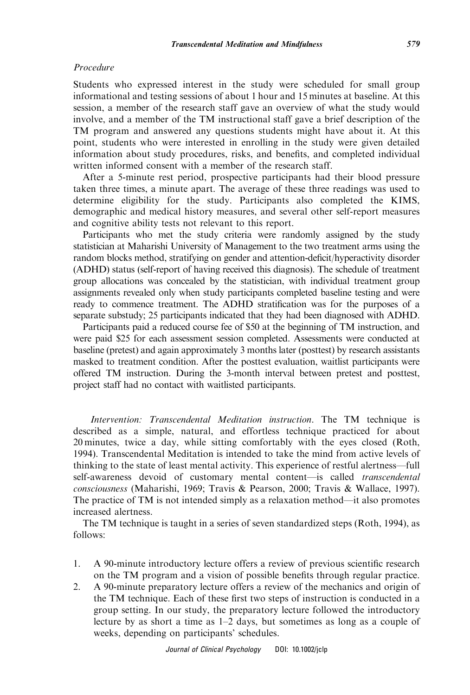# Procedure

Students who expressed interest in the study were scheduled for small group informational and testing sessions of about 1 hour and 15 minutes at baseline. At this session, a member of the research staff gave an overview of what the study would involve, and a member of the TM instructional staff gave a brief description of the TM program and answered any questions students might have about it. At this point, students who were interested in enrolling in the study were given detailed information about study procedures, risks, and benefits, and completed individual written informed consent with a member of the research staff.

After a 5-minute rest period, prospective participants had their blood pressure taken three times, a minute apart. The average of these three readings was used to determine eligibility for the study. Participants also completed the KIMS, demographic and medical history measures, and several other self-report measures and cognitive ability tests not relevant to this report.

Participants who met the study criteria were randomly assigned by the study statistician at Maharishi University of Management to the two treatment arms using the random blocks method, stratifying on gender and attention-deficit/hyperactivity disorder (ADHD) status (self-report of having received this diagnosis). The schedule of treatment group allocations was concealed by the statistician, with individual treatment group assignments revealed only when study participants completed baseline testing and were ready to commence treatment. The ADHD stratification was for the purposes of a separate substudy; 25 participants indicated that they had been diagnosed with ADHD.

Participants paid a reduced course fee of \$50 at the beginning of TM instruction, and were paid \$25 for each assessment session completed. Assessments were conducted at baseline (pretest) and again approximately 3 months later (posttest) by research assistants masked to treatment condition. After the posttest evaluation, waitlist participants were offered TM instruction. During the 3-month interval between pretest and posttest, project staff had no contact with waitlisted participants.

Intervention: Transcendental Meditation instruction. The TM technique is described as a simple, natural, and effortless technique practiced for about 20 minutes, twice a day, while sitting comfortably with the eyes closed (Roth, 1994). Transcendental Meditation is intended to take the mind from active levels of thinking to the state of least mental activity. This experience of restful alertness—full self-awareness devoid of customary mental content—is called transcendental consciousness (Maharishi, 1969; Travis & Pearson, 2000; Travis & Wallace, 1997). The practice of TM is not intended simply as a relaxation method—it also promotes increased alertness.

The TM technique is taught in a series of seven standardized steps (Roth, 1994), as follows:

- 1. A 90-minute introductory lecture offers a review of previous scientific research on the TM program and a vision of possible benefits through regular practice.
- 2. A 90-minute preparatory lecture offers a review of the mechanics and origin of the TM technique. Each of these first two steps of instruction is conducted in a group setting. In our study, the preparatory lecture followed the introductory lecture by as short a time as 1–2 days, but sometimes as long as a couple of weeks, depending on participants' schedules.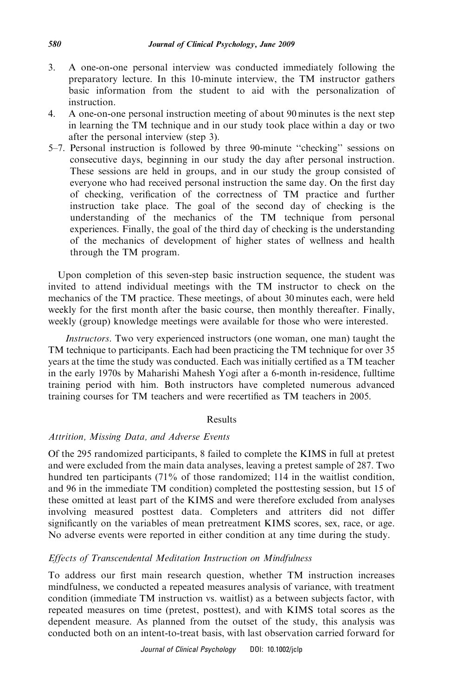- 3. A one-on-one personal interview was conducted immediately following the preparatory lecture. In this 10-minute interview, the TM instructor gathers basic information from the student to aid with the personalization of instruction.
- 4. A one-on-one personal instruction meeting of about 90 minutes is the next step in learning the TM technique and in our study took place within a day or two after the personal interview (step 3).
- 5–7. Personal instruction is followed by three 90-minute ''checking'' sessions on consecutive days, beginning in our study the day after personal instruction. These sessions are held in groups, and in our study the group consisted of everyone who had received personal instruction the same day. On the first day of checking, verification of the correctness of TM practice and further instruction take place. The goal of the second day of checking is the understanding of the mechanics of the TM technique from personal experiences. Finally, the goal of the third day of checking is the understanding of the mechanics of development of higher states of wellness and health through the TM program.

Upon completion of this seven-step basic instruction sequence, the student was invited to attend individual meetings with the TM instructor to check on the mechanics of the TM practice. These meetings, of about 30 minutes each, were held weekly for the first month after the basic course, then monthly thereafter. Finally, weekly (group) knowledge meetings were available for those who were interested.

Instructors. Two very experienced instructors (one woman, one man) taught the TM technique to participants. Each had been practicing the TM technique for over 35 years at the time the study was conducted. Each was initially certified as a TM teacher in the early 1970s by Maharishi Mahesh Yogi after a 6-month in-residence, fulltime training period with him. Both instructors have completed numerous advanced training courses for TM teachers and were recertified as TM teachers in 2005.

#### Results

# Attrition, Missing Data, and Adverse Events

Of the 295 randomized participants, 8 failed to complete the KIMS in full at pretest and were excluded from the main data analyses, leaving a pretest sample of 287. Two hundred ten participants (71% of those randomized; 114 in the waitlist condition, and 96 in the immediate TM condition) completed the posttesting session, but 15 of these omitted at least part of the KIMS and were therefore excluded from analyses involving measured posttest data. Completers and attriters did not differ significantly on the variables of mean pretreatment KIMS scores, sex, race, or age. No adverse events were reported in either condition at any time during the study.

#### Effects of Transcendental Meditation Instruction on Mindfulness

To address our first main research question, whether TM instruction increases mindfulness, we conducted a repeated measures analysis of variance, with treatment condition (immediate TM instruction vs. waitlist) as a between subjects factor, with repeated measures on time (pretest, posttest), and with KIMS total scores as the dependent measure. As planned from the outset of the study, this analysis was conducted both on an intent-to-treat basis, with last observation carried forward for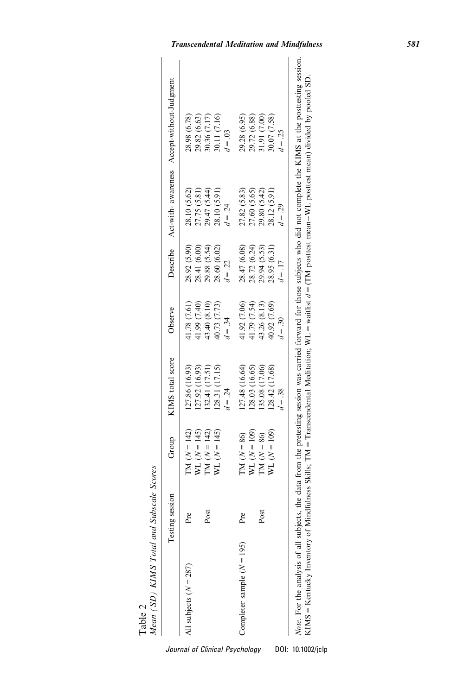|                                          | Testing session | Group                            | KIMS total score | Observe      |              |              | Describe Act-with-awareness Accept-without-Judgment                                                                                                                                                                                                                                                    |
|------------------------------------------|-----------------|----------------------------------|------------------|--------------|--------------|--------------|--------------------------------------------------------------------------------------------------------------------------------------------------------------------------------------------------------------------------------------------------------------------------------------------------------|
| All subjects $(N = 287)$                 | Pre             | $TM(N = 142)$                    | 127.86 (16.93)   | 41.78 (7.61) | 28.92 (5.90) | 28.10 (5.62) | 28.98 (6.78)                                                                                                                                                                                                                                                                                           |
|                                          |                 | WL $(N = 145)$<br>TM $(N = 142)$ | 127.92 (16.93)   | 41.99 (7.40) | 28.41 (6.00) | 27.75 (5.81) | 29.82 (6.63)                                                                                                                                                                                                                                                                                           |
|                                          | Post            |                                  | 132.41 (17.51)   | 43.40 (8.10) | 29.88 (5.54) | 29.47 (5.44) | 30.36 (7.17)                                                                                                                                                                                                                                                                                           |
|                                          |                 | $WL (N = 145)$                   | 128.31 (17.15)   | 40.73 (7.73) | 28.60 (6.02) | 28.10 (5.91) | 30.11 (7.16)                                                                                                                                                                                                                                                                                           |
|                                          |                 |                                  | $d = .24$        | $d = .34$    | $d = 0.22$   | $d = .24$    | $d = .03$                                                                                                                                                                                                                                                                                              |
| Completer sample $(N = 195)$             | Pre             | TM $(N = 86)$                    | 127.48 (16.64)   | 11.92 (7.06) | 28.47 (6.08) | 27.82 (5.83) | 29.28 (6.95)                                                                                                                                                                                                                                                                                           |
|                                          |                 | $WL (N = 109)$                   | 128.03 (16.65)   | 41.79 (7.54) | 28.72 (6.24) | 27.60 (5.65) | 29.72 (6.88)                                                                                                                                                                                                                                                                                           |
|                                          | Post            | TM $(N = 86)$                    | 135.08 (17.06)   | 43.26 (8.13) | 29.94 (5.53) | 29.80 (5.42) | 31.91 (7.00)                                                                                                                                                                                                                                                                                           |
|                                          |                 | $WL (N = 109)$                   | 128.42 (17.68)   | 40.92 (7.69) | 28.95 (6.31) | 28.12 (5.91) | 30.07 (7.58)                                                                                                                                                                                                                                                                                           |
|                                          |                 |                                  | $d = 38$         | $d = .30$    | $t = 17$     | $d = 29$     | $d = 0.25$                                                                                                                                                                                                                                                                                             |
| KIMS = Kentucky Inventory of Mindfulness |                 |                                  |                  |              |              |              | Note. For the analysis of all subjects, the data from the pretesting session was carried forward for those subjects who did not complete the KIMS at the posttesting session.<br>Skills; TM = Transcendental Meditation; WL = waitlist $d = (TM)$ posttest mean-WL posttest mean) divided by pooled SD |

# Transcendental Meditation and Mindfulness 581  $\mathbf{I}$  $\mathbf{r}$

Journal of Clinical Psychology DOI: 10.1002/jclp

Table 2<br>Mean (SD) KIMS Total and Subscale Scores Mean (SD) KIMS Total and Subscale Scores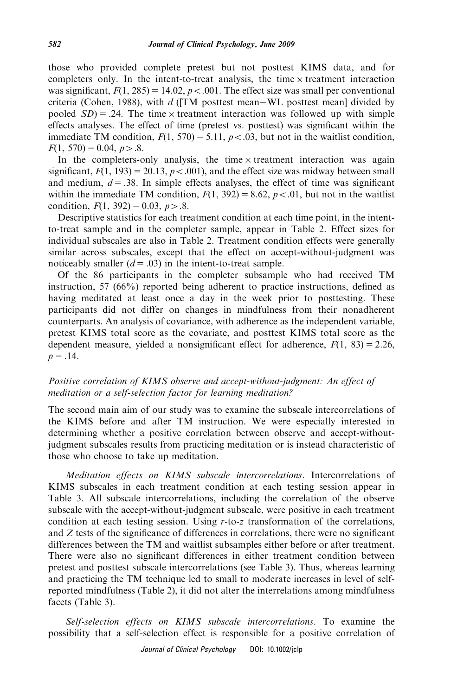those who provided complete pretest but not posttest KIMS data, and for completers only. In the intent-to-treat analysis, the time  $\times$  treatment interaction was significant,  $F(1, 285) = 14.02$ ,  $p < .001$ . The effect size was small per conventional criteria (Cohen, 1988), with  $d$  ([TM posttest mean-WL posttest mean] divided by pooled  $SD$  = .24. The time  $\times$  treatment interaction was followed up with simple effects analyses. The effect of time (pretest vs. posttest) was significant within the immediate TM condition,  $F(1, 570) = 5.11$ ,  $p < .03$ , but not in the waitlist condition,  $F(1, 570) = 0.04, p > 0.8.$ 

In the completers-only analysis, the time  $\times$  treatment interaction was again significant,  $F(1, 193) = 20.13$ ,  $p < .001$ ), and the effect size was midway between small and medium,  $d = 0.38$ . In simple effects analyses, the effect of time was significant within the immediate TM condition,  $F(1, 392) = 8.62$ ,  $p < .01$ , but not in the waitlist condition,  $F(1, 392) = 0.03$ ,  $p > .8$ .

Descriptive statistics for each treatment condition at each time point, in the intentto-treat sample and in the completer sample, appear in Table 2. Effect sizes for individual subscales are also in Table 2. Treatment condition effects were generally similar across subscales, except that the effect on accept-without-judgment was noticeably smaller  $(d = .03)$  in the intent-to-treat sample.

Of the 86 participants in the completer subsample who had received TM instruction,  $57 \ (66\%)$  reported being adherent to practice instructions, defined as having meditated at least once a day in the week prior to posttesting. These participants did not differ on changes in mindfulness from their nonadherent counterparts. An analysis of covariance, with adherence as the independent variable, pretest KIMS total score as the covariate, and posttest KIMS total score as the dependent measure, yielded a nonsignificant effect for adherence,  $F(1, 83) = 2.26$ ,  $p = .14$ .

# Positive correlation of KIMS observe and accept-without-judgment: An effect of meditation or a self-selection factor for learning meditation?

The second main aim of our study was to examine the subscale intercorrelations of the KIMS before and after TM instruction. We were especially interested in determining whether a positive correlation between observe and accept-withoutjudgment subscales results from practicing meditation or is instead characteristic of those who choose to take up meditation.

Meditation effects on KIMS subscale intercorrelations. Intercorrelations of KIMS subscales in each treatment condition at each testing session appear in Table 3. All subscale intercorrelations, including the correlation of the observe subscale with the accept-without-judgment subscale, were positive in each treatment condition at each testing session. Using r-to-z transformation of the correlations, and Z tests of the significance of differences in correlations, there were no significant differences between the TM and waitlist subsamples either before or after treatment. There were also no significant differences in either treatment condition between pretest and posttest subscale intercorrelations (see Table 3). Thus, whereas learning and practicing the TM technique led to small to moderate increases in level of selfreported mindfulness (Table 2), it did not alter the interrelations among mindfulness facets (Table 3).

Self-selection effects on KIMS subscale intercorrelations. To examine the possibility that a self-selection effect is responsible for a positive correlation of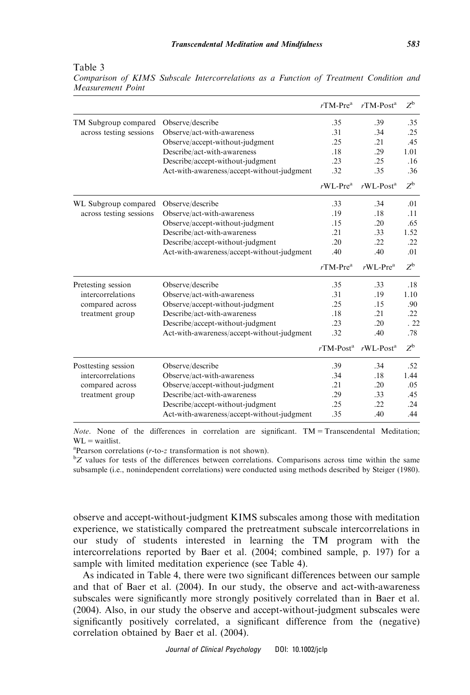| Table |  |  |  |
|-------|--|--|--|
|-------|--|--|--|

Comparison of KIMS Subscale Intercorrelations as a Function of Treatment Condition and Measurement Point

|                         |                                            | $rTM-Prea$              | $rTM-Posta$              | $Z^{\rm b}$ |
|-------------------------|--------------------------------------------|-------------------------|--------------------------|-------------|
| TM Subgroup compared    | Observe/describe                           | .35                     | .39                      | .35         |
| across testing sessions | Observe/act-with-awareness                 | .31                     | .34                      | .25         |
|                         | Observe/accept-without-judgment            | .25                     | .21                      | .45         |
|                         | Describe/act-with-awareness                | .18                     | .29                      | 1.01        |
|                         | Describe/accept-without-judgment           | .23                     | .25                      | .16         |
|                         | Act-with-awareness/accept-without-judgment | .32                     | .35                      | .36         |
|                         |                                            | $rWL$ -Pre <sup>a</sup> | $rW1$ -Post <sup>a</sup> | $Z^{\rm b}$ |
| WL Subgroup compared    | Observe/describe                           | .33                     | .34                      | .01         |
| across testing sessions | Observe/act-with-awareness                 | .19                     | .18                      | .11         |
|                         | Observe/accept-without-judgment            | .15                     | .20                      | .65         |
|                         | Describe/act-with-awareness                | .21                     | .33                      | 1.52        |
|                         | Describe/accept-without-judgment           | .20                     | .22                      | .22         |
|                         | Act-with-awareness/accept-without-judgment | .40                     | .40                      | .01         |
|                         |                                            | $rTM$ -Pre <sup>a</sup> | $rWL$ -Pre <sup>a</sup>  | $Z^{\rm b}$ |
| Pretesting session      | Observe/describe                           | .35                     | .33                      | .18         |
| intercorrelations       | Observe/act-with-awareness                 | .31                     | .19                      | 1.10        |
| compared across         | Observe/accept-without-judgment            | .25                     | .15                      | .90         |
| treatment group         | Describe/act-with-awareness                | .18                     | .21                      | .22         |
|                         | Describe/accept-without-judgment           | .23                     | .20                      | .22         |
|                         | Act-with-awareness/accept-without-judgment | .32                     | .40                      | .78         |
|                         |                                            | $rTM-Posta$             | $rWL$ -Post <sup>a</sup> | $Z^b$       |
| Posttesting session     | Observe/describe                           | .39                     | .34                      | .52         |
| intercorrelations       | Observe/act-with-awareness                 | .34                     | .18                      | 1.44        |
| compared across         | Observe/accept-without-judgment            | .21                     | .20                      | .05         |
| treatment group         | Describe/act-with-awareness                | .29                     | .33                      | .45         |
|                         | Describe/accept-without-judgment           | .25                     | .22                      | .24         |
|                         | Act-with-awareness/accept-without-judgment | .35                     | .40                      | .44         |

*Note.* None of the differences in correlation are significant.  $TM = Transcendental$  Meditation;  $WL =$  waitlist.

 ${}^{a}$ Pearson correlations ( $r$ -to- $z$  transformation is not shown).

 ${}^{b}Z$  values for tests of the differences between correlations. Comparisons across time within the same subsample (i.e., nonindependent correlations) were conducted using methods described by Steiger (1980).

observe and accept-without-judgment KIMS subscales among those with meditation experience, we statistically compared the pretreatment subscale intercorrelations in our study of students interested in learning the TM program with the intercorrelations reported by Baer et al. (2004; combined sample, p. 197) for a sample with limited meditation experience (see Table 4).

As indicated in Table 4, there were two significant differences between our sample and that of Baer et al. (2004). In our study, the observe and act-with-awareness subscales were significantly more strongly positively correlated than in Baer et al. (2004). Also, in our study the observe and accept-without-judgment subscales were significantly positively correlated, a significant difference from the (negative) correlation obtained by Baer et al. (2004).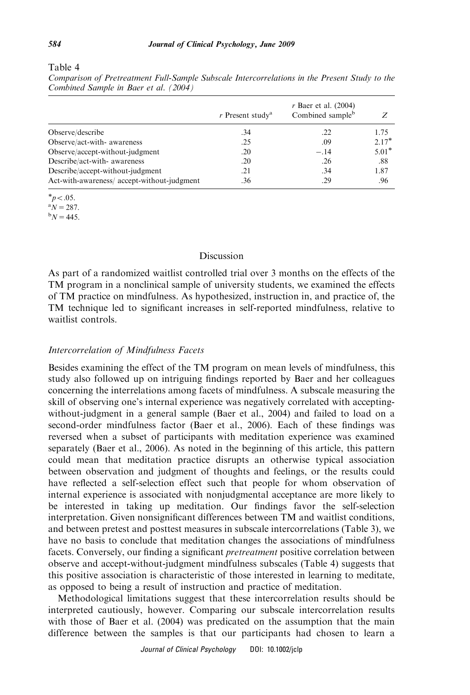#### Table 4

Comparison of Pretreatment Full-Sample Subscale Intercorrelations in the Present Study to the Combined Sample in Baer et al. (2004)

|                                            | r Present study <sup>a</sup> | r Baer et al. $(2004)$<br>Combined sample <sup>b</sup> |         |
|--------------------------------------------|------------------------------|--------------------------------------------------------|---------|
| Observe/describe                           | .34                          | .22                                                    | 1.75    |
| Observe/act-with- awareness                | .25                          | .09                                                    | $2.17*$ |
| Observe/accept-without-judgment            | .20                          | $-.14$                                                 | $5.01*$ |
| Describe/act-with- awareness               | .20                          | .26                                                    | .88     |
| Describe/accept-without-judgment           | .21                          | .34                                                    | 1.87    |
| Act-with-awareness/accept-without-judgment | .36                          | .29                                                    | .96     |

 $*_{p<.05}^{*}$ <br> $\frac{1}{2}N - 28$ 

 $\hat{N} = 287$ .

 ${}^{\rm b}N = 445.$ 

#### Discussion

As part of a randomized waitlist controlled trial over 3 months on the effects of the TM program in a nonclinical sample of university students, we examined the effects of TM practice on mindfulness. As hypothesized, instruction in, and practice of, the TM technique led to significant increases in self-reported mindfulness, relative to waitlist controls.

# Intercorrelation of Mindfulness Facets

Besides examining the effect of the TM program on mean levels of mindfulness, this study also followed up on intriguing findings reported by Baer and her colleagues concerning the interrelations among facets of mindfulness. A subscale measuring the skill of observing one's internal experience was negatively correlated with acceptingwithout-judgment in a general sample (Baer et al., 2004) and failed to load on a second-order mindfulness factor (Baer et al., 2006). Each of these findings was reversed when a subset of participants with meditation experience was examined separately (Baer et al., 2006). As noted in the beginning of this article, this pattern could mean that meditation practice disrupts an otherwise typical association between observation and judgment of thoughts and feelings, or the results could have reflected a self-selection effect such that people for whom observation of internal experience is associated with nonjudgmental acceptance are more likely to be interested in taking up meditation. Our findings favor the self-selection interpretation. Given nonsignificant differences between TM and waitlist conditions, and between pretest and posttest measures in subscale intercorrelations (Table 3), we have no basis to conclude that meditation changes the associations of mindfulness facets. Conversely, our finding a significant pretreatment positive correlation between observe and accept-without-judgment mindfulness subscales (Table 4) suggests that this positive association is characteristic of those interested in learning to meditate, as opposed to being a result of instruction and practice of meditation.

Methodological limitations suggest that these intercorrelation results should be interpreted cautiously, however. Comparing our subscale intercorrelation results with those of Baer et al. (2004) was predicated on the assumption that the main difference between the samples is that our participants had chosen to learn a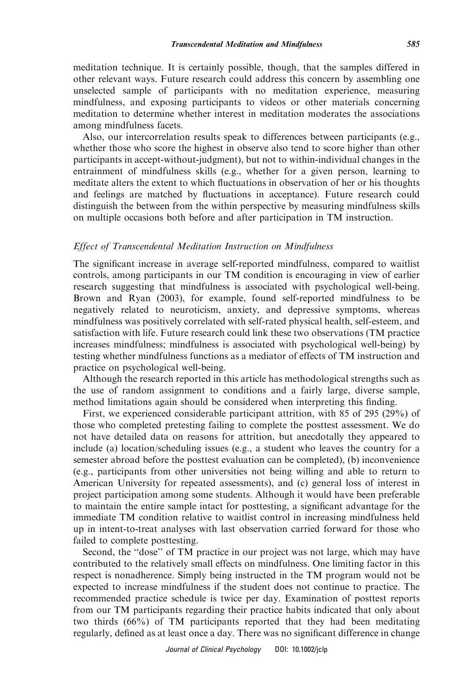meditation technique. It is certainly possible, though, that the samples differed in other relevant ways. Future research could address this concern by assembling one unselected sample of participants with no meditation experience, measuring mindfulness, and exposing participants to videos or other materials concerning meditation to determine whether interest in meditation moderates the associations among mindfulness facets.

Also, our intercorrelation results speak to differences between participants (e.g., whether those who score the highest in observe also tend to score higher than other participants in accept-without-judgment), but not to within-individual changes in the entrainment of mindfulness skills (e.g., whether for a given person, learning to meditate alters the extent to which fluctuations in observation of her or his thoughts and feelings are matched by fluctuations in acceptance). Future research could distinguish the between from the within perspective by measuring mindfulness skills on multiple occasions both before and after participation in TM instruction.

#### Effect of Transcendental Meditation Instruction on Mindfulness

The significant increase in average self-reported mindfulness, compared to waitlist controls, among participants in our TM condition is encouraging in view of earlier research suggesting that mindfulness is associated with psychological well-being. Brown and Ryan (2003), for example, found self-reported mindfulness to be negatively related to neuroticism, anxiety, and depressive symptoms, whereas mindfulness was positively correlated with self-rated physical health, self-esteem, and satisfaction with life. Future research could link these two observations (TM practice increases mindfulness; mindfulness is associated with psychological well-being) by testing whether mindfulness functions as a mediator of effects of TM instruction and practice on psychological well-being.

Although the research reported in this article has methodological strengths such as the use of random assignment to conditions and a fairly large, diverse sample, method limitations again should be considered when interpreting this finding.

First, we experienced considerable participant attrition, with 85 of 295 (29%) of those who completed pretesting failing to complete the posttest assessment. We do not have detailed data on reasons for attrition, but anecdotally they appeared to include (a) location/scheduling issues (e.g., a student who leaves the country for a semester abroad before the posttest evaluation can be completed), (b) inconvenience (e.g., participants from other universities not being willing and able to return to American University for repeated assessments), and (c) general loss of interest in project participation among some students. Although it would have been preferable to maintain the entire sample intact for posttesting, a significant advantage for the immediate TM condition relative to waitlist control in increasing mindfulness held up in intent-to-treat analyses with last observation carried forward for those who failed to complete posttesting.

Second, the "dose" of TM practice in our project was not large, which may have contributed to the relatively small effects on mindfulness. One limiting factor in this respect is nonadherence. Simply being instructed in the TM program would not be expected to increase mindfulness if the student does not continue to practice. The recommended practice schedule is twice per day. Examination of posttest reports from our TM participants regarding their practice habits indicated that only about two thirds (66%) of TM participants reported that they had been meditating regularly, defined as at least once a day. There was no significant difference in change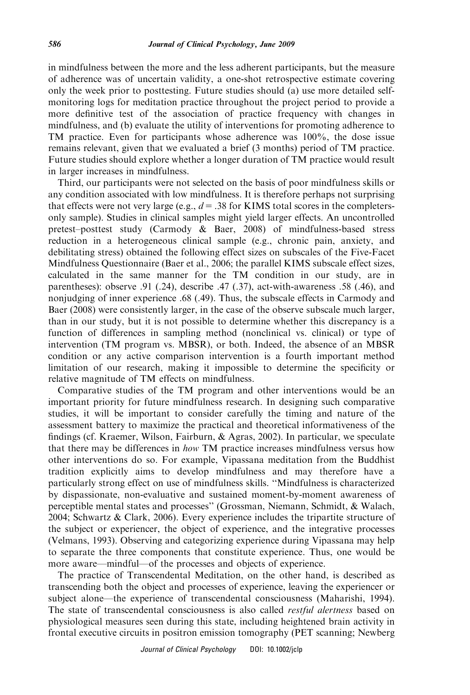in mindfulness between the more and the less adherent participants, but the measure of adherence was of uncertain validity, a one-shot retrospective estimate covering only the week prior to posttesting. Future studies should (a) use more detailed selfmonitoring logs for meditation practice throughout the project period to provide a more definitive test of the association of practice frequency with changes in mindfulness, and (b) evaluate the utility of interventions for promoting adherence to TM practice. Even for participants whose adherence was 100%, the dose issue remains relevant, given that we evaluated a brief (3 months) period of TM practice. Future studies should explore whether a longer duration of TM practice would result in larger increases in mindfulness.

Third, our participants were not selected on the basis of poor mindfulness skills or any condition associated with low mindfulness. It is therefore perhaps not surprising that effects were not very large (e.g.,  $d = .38$  for KIMS total scores in the completersonly sample). Studies in clinical samples might yield larger effects. An uncontrolled pretest–posttest study (Carmody & Baer, 2008) of mindfulness-based stress reduction in a heterogeneous clinical sample (e.g., chronic pain, anxiety, and debilitating stress) obtained the following effect sizes on subscales of the Five-Facet Mindfulness Questionnaire (Baer et al., 2006; the parallel KIMS subscale effect sizes, calculated in the same manner for the TM condition in our study, are in parentheses): observe .91 (.24), describe .47 (.37), act-with-awareness .58 (.46), and nonjudging of inner experience .68 (.49). Thus, the subscale effects in Carmody and Baer (2008) were consistently larger, in the case of the observe subscale much larger, than in our study, but it is not possible to determine whether this discrepancy is a function of differences in sampling method (nonclinical vs. clinical) or type of intervention (TM program vs. MBSR), or both. Indeed, the absence of an MBSR condition or any active comparison intervention is a fourth important method limitation of our research, making it impossible to determine the specificity or relative magnitude of TM effects on mindfulness.

Comparative studies of the TM program and other interventions would be an important priority for future mindfulness research. In designing such comparative studies, it will be important to consider carefully the timing and nature of the assessment battery to maximize the practical and theoretical informativeness of the findings (cf. Kraemer, Wilson, Fairburn, & Agras, 2002). In particular, we speculate that there may be differences in how TM practice increases mindfulness versus how other interventions do so. For example, Vipassana meditation from the Buddhist tradition explicitly aims to develop mindfulness and may therefore have a particularly strong effect on use of mindfulness skills. ''Mindfulness is characterized by dispassionate, non-evaluative and sustained moment-by-moment awareness of perceptible mental states and processes'' (Grossman, Niemann, Schmidt, & Walach, 2004; Schwartz & Clark, 2006). Every experience includes the tripartite structure of the subject or experiencer, the object of experience, and the integrative processes (Velmans, 1993). Observing and categorizing experience during Vipassana may help to separate the three components that constitute experience. Thus, one would be more aware—mindful—of the processes and objects of experience.

The practice of Transcendental Meditation, on the other hand, is described as transcending both the object and processes of experience, leaving the experiencer or subject alone—the experience of transcendental consciousness (Maharishi, 1994). The state of transcendental consciousness is also called *restful alertness* based on physiological measures seen during this state, including heightened brain activity in frontal executive circuits in positron emission tomography (PET scanning; Newberg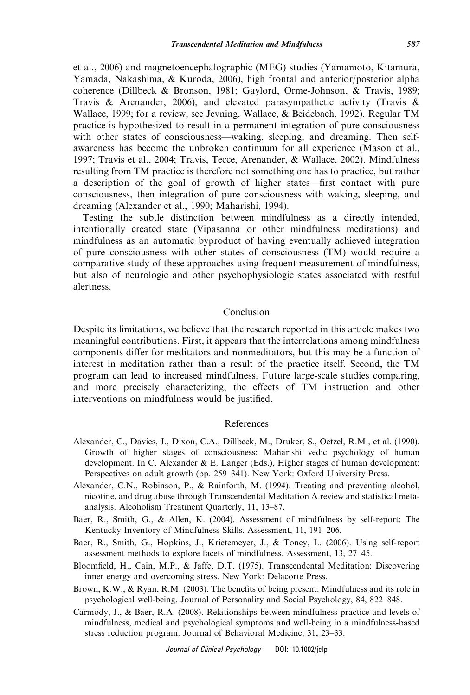et al., 2006) and magnetoencephalographic (MEG) studies (Yamamoto, Kitamura, Yamada, Nakashima, & Kuroda, 2006), high frontal and anterior/posterior alpha coherence (Dillbeck & Bronson, 1981; Gaylord, Orme-Johnson, & Travis, 1989; Travis & Arenander, 2006), and elevated parasympathetic activity (Travis & Wallace, 1999; for a review, see Jevning, Wallace, & Beidebach, 1992). Regular TM practice is hypothesized to result in a permanent integration of pure consciousness with other states of consciousness—waking, sleeping, and dreaming. Then selfawareness has become the unbroken continuum for all experience (Mason et al., 1997; Travis et al., 2004; Travis, Tecce, Arenander, & Wallace, 2002). Mindfulness resulting from TM practice is therefore not something one has to practice, but rather a description of the goal of growth of higher states—first contact with pure consciousness, then integration of pure consciousness with waking, sleeping, and dreaming (Alexander et al., 1990; Maharishi, 1994).

Testing the subtle distinction between mindfulness as a directly intended, intentionally created state (Vipasanna or other mindfulness meditations) and mindfulness as an automatic byproduct of having eventually achieved integration of pure consciousness with other states of consciousness (TM) would require a comparative study of these approaches using frequent measurement of mindfulness, but also of neurologic and other psychophysiologic states associated with restful alertness.

## Conclusion

Despite its limitations, we believe that the research reported in this article makes two meaningful contributions. First, it appears that the interrelations among mindfulness components differ for meditators and nonmeditators, but this may be a function of interest in meditation rather than a result of the practice itself. Second, the TM program can lead to increased mindfulness. Future large-scale studies comparing, and more precisely characterizing, the effects of TM instruction and other interventions on mindfulness would be justified.

#### References

- Alexander, C., Davies, J., Dixon, C.A., Dillbeck, M., Druker, S., Oetzel, R.M., et al. (1990). Growth of higher stages of consciousness: Maharishi vedic psychology of human development. In C. Alexander & E. Langer (Eds.), Higher stages of human development: Perspectives on adult growth (pp. 259–341). New York: Oxford University Press.
- Alexander, C.N., Robinson, P., & Rainforth, M. (1994). Treating and preventing alcohol, nicotine, and drug abuse through Transcendental Meditation A review and statistical metaanalysis. Alcoholism Treatment Quarterly, 11, 13–87.
- Baer, R., Smith, G., & Allen, K. (2004). Assessment of mindfulness by self-report: The Kentucky Inventory of Mindfulness Skills. Assessment, 11, 191–206.
- Baer, R., Smith, G., Hopkins, J., Krietemeyer, J., & Toney, L. (2006). Using self-report assessment methods to explore facets of mindfulness. Assessment, 13, 27–45.
- Bloomfield, H., Cain, M.P., & Jaffe, D.T. (1975). Transcendental Meditation: Discovering inner energy and overcoming stress. New York: Delacorte Press.
- Brown, K.W., & Ryan, R.M. (2003). The benefits of being present: Mindfulness and its role in psychological well-being. Journal of Personality and Social Psychology, 84, 822–848.
- Carmody, J., & Baer, R.A. (2008). Relationships between mindfulness practice and levels of mindfulness, medical and psychological symptoms and well-being in a mindfulness-based stress reduction program. Journal of Behavioral Medicine, 31, 23–33.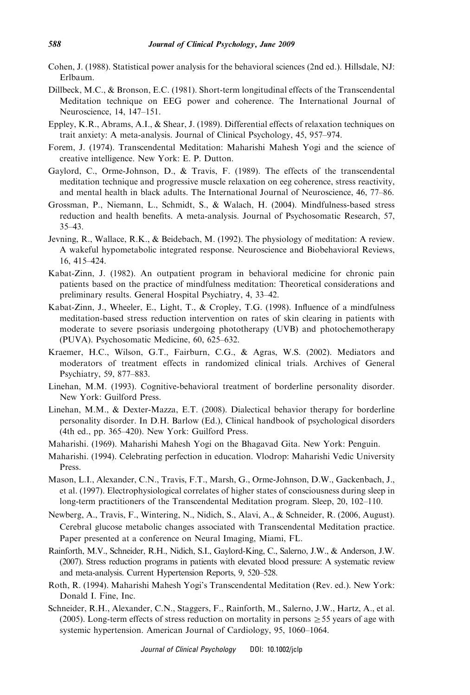- Cohen, J. (1988). Statistical power analysis for the behavioral sciences (2nd ed.). Hillsdale, NJ: Erlbaum.
- Dillbeck, M.C., & Bronson, E.C. (1981). Short-term longitudinal effects of the Transcendental Meditation technique on EEG power and coherence. The International Journal of Neuroscience, 14, 147–151.
- Eppley, K.R., Abrams, A.I., & Shear, J. (1989). Differential effects of relaxation techniques on trait anxiety: A meta-analysis. Journal of Clinical Psychology, 45, 957–974.
- Forem, J. (1974). Transcendental Meditation: Maharishi Mahesh Yogi and the science of creative intelligence. New York: E. P. Dutton.
- Gaylord, C., Orme-Johnson, D., & Travis, F. (1989). The effects of the transcendental meditation technique and progressive muscle relaxation on eeg coherence, stress reactivity, and mental health in black adults. The International Journal of Neuroscience, 46, 77–86.
- Grossman, P., Niemann, L., Schmidt, S., & Walach, H. (2004). Mindfulness-based stress reduction and health benefits. A meta-analysis. Journal of Psychosomatic Research, 57, 35–43.
- Jevning, R., Wallace, R.K., & Beidebach, M. (1992). The physiology of meditation: A review. A wakeful hypometabolic integrated response. Neuroscience and Biobehavioral Reviews, 16, 415–424.
- Kabat-Zinn, J. (1982). An outpatient program in behavioral medicine for chronic pain patients based on the practice of mindfulness meditation: Theoretical considerations and preliminary results. General Hospital Psychiatry, 4, 33–42.
- Kabat-Zinn, J., Wheeler, E., Light, T., & Cropley, T.G. (1998). Influence of a mindfulness meditation-based stress reduction intervention on rates of skin clearing in patients with moderate to severe psoriasis undergoing phototherapy (UVB) and photochemotherapy (PUVA). Psychosomatic Medicine, 60, 625–632.
- Kraemer, H.C., Wilson, G.T., Fairburn, C.G., & Agras, W.S. (2002). Mediators and moderators of treatment effects in randomized clinical trials. Archives of General Psychiatry, 59, 877–883.
- Linehan, M.M. (1993). Cognitive-behavioral treatment of borderline personality disorder. New York: Guilford Press.
- Linehan, M.M., & Dexter-Mazza, E.T. (2008). Dialectical behavior therapy for borderline personality disorder. In D.H. Barlow (Ed.), Clinical handbook of psychological disorders (4th ed., pp. 365–420). New York: Guilford Press.
- Maharishi. (1969). Maharishi Mahesh Yogi on the Bhagavad Gita. New York: Penguin.
- Maharishi. (1994). Celebrating perfection in education. Vlodrop: Maharishi Vedic University Press.
- Mason, L.I., Alexander, C.N., Travis, F.T., Marsh, G., Orme-Johnson, D.W., Gackenbach, J., et al. (1997). Electrophysiological correlates of higher states of consciousness during sleep in long-term practitioners of the Transcendental Meditation program. Sleep, 20, 102–110.
- Newberg, A., Travis, F., Wintering, N., Nidich, S., Alavi, A., & Schneider, R. (2006, August). Cerebral glucose metabolic changes associated with Transcendental Meditation practice. Paper presented at a conference on Neural Imaging, Miami, FL.
- Rainforth, M.V., Schneider, R.H., Nidich, S.I., Gaylord-King, C., Salerno, J.W., & Anderson, J.W. (2007). Stress reduction programs in patients with elevated blood pressure: A systematic review and meta-analysis. Current Hypertension Reports, 9, 520–528.
- Roth, R. (1994). Maharishi Mahesh Yogi's Transcendental Meditation (Rev. ed.). New York: Donald I. Fine, Inc.
- Schneider, R.H., Alexander, C.N., Staggers, F., Rainforth, M., Salerno, J.W., Hartz, A., et al. (2005). Long-term effects of stress reduction on mortality in persons  $\geq$  55 years of age with systemic hypertension. American Journal of Cardiology, 95, 1060–1064.